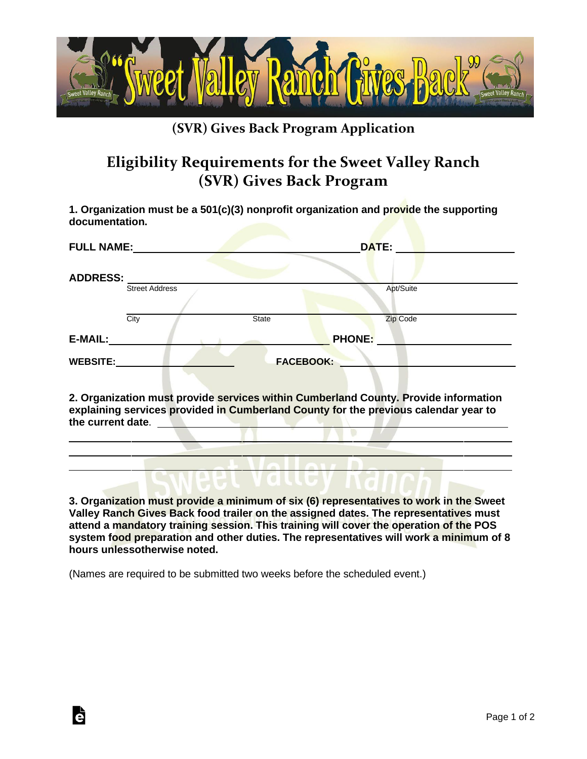

## **(SVR) Gives Back Program Application**

## **Eligibility Requirements for the Sweet Valley Ranch (SVR) Gives Back Program**

**1. Organization must be a 501(c)(3) nonprofit organization and provide the supporting documentation.**

| <b>FULL NAME:</b> |                       | DATE:        |                                                                                     |  |
|-------------------|-----------------------|--------------|-------------------------------------------------------------------------------------|--|
| <b>ADDRESS:</b>   |                       |              |                                                                                     |  |
|                   | <b>Street Address</b> |              | Apt/Suite                                                                           |  |
|                   | City                  | <b>State</b> | Zip Code                                                                            |  |
| <b>E-MAIL:</b>    |                       |              | <b>PHONE:</b>                                                                       |  |
| <b>WEBSITE:</b>   | <b>FACEBOOK:</b>      |              |                                                                                     |  |
|                   |                       |              | 2. Organization must provide services within Cumberland County. Provide information |  |

**explaining services provided in Cumberland County for the previous calendar year to the current date**.

**3. Organization must provide a minimum of six (6) representatives to work in the Sweet Valley Ranch Gives Back food trailer on the assigned dates. The representatives must attend a mandatory training session. This training will cover the operation of the POS system food preparation and other duties. The representatives will work a minimum of 8 hours unlessotherwise noted.**

(Names are required to be submitted two weeks before the scheduled event.)

**d**